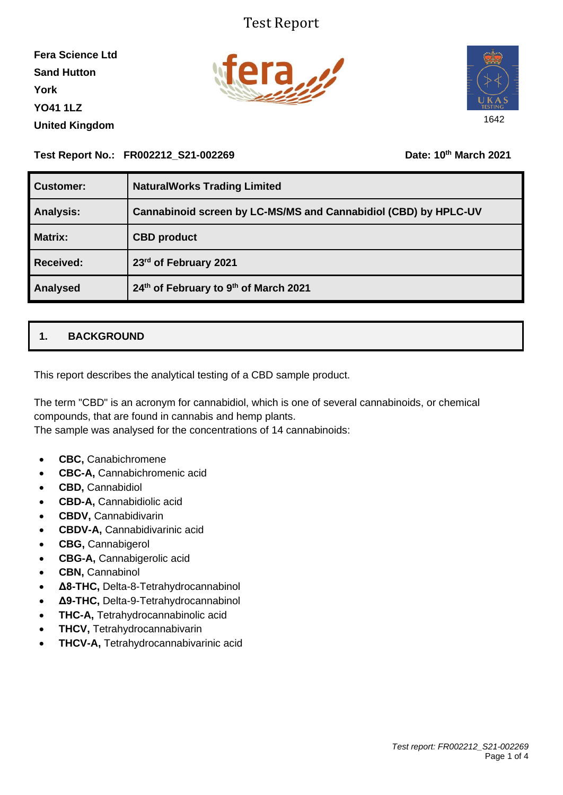## Test Report

**Fera Science Ltd Sand Hutton York YO41 1LZ United Kingdom**





#### **Test Report No.: FR002212\_S21-002269 Date: 10th March 2021**

| <b>Customer:</b> | <b>NaturalWorks Trading Limited</b>                             |
|------------------|-----------------------------------------------------------------|
| <b>Analysis:</b> | Cannabinoid screen by LC-MS/MS and Cannabidiol (CBD) by HPLC-UV |
| <b>Matrix:</b>   | <b>CBD</b> product                                              |
| <b>Received:</b> | 23rd of February 2021                                           |
| Analysed         | 24th of February to 9th of March 2021                           |

### **1. BACKGROUND**

This report describes the analytical testing of a CBD sample product.

The term "CBD" is an acronym for cannabidiol, which is one of several cannabinoids, or chemical compounds, that are found in cannabis and hemp plants.

The sample was analysed for the concentrations of 14 cannabinoids:

- **CBC,** Canabichromene
- **CBC-A,** Cannabichromenic acid
- **CBD,** Cannabidiol
- **CBD-A,** Cannabidiolic acid
- **CBDV,** Cannabidivarin
- **CBDV-A,** Cannabidivarinic acid
- **CBG,** Cannabigerol
- **CBG-A,** Cannabigerolic acid
- **CBN,** Cannabinol
- **Δ8-THC,** Delta-8-Tetrahydrocannabinol
- **Δ9-THC,** Delta-9-Tetrahydrocannabinol
- **THC-A,** Tetrahydrocannabinolic acid
- **THCV,** Tetrahydrocannabivarin
- **THCV-A,** Tetrahydrocannabivarinic acid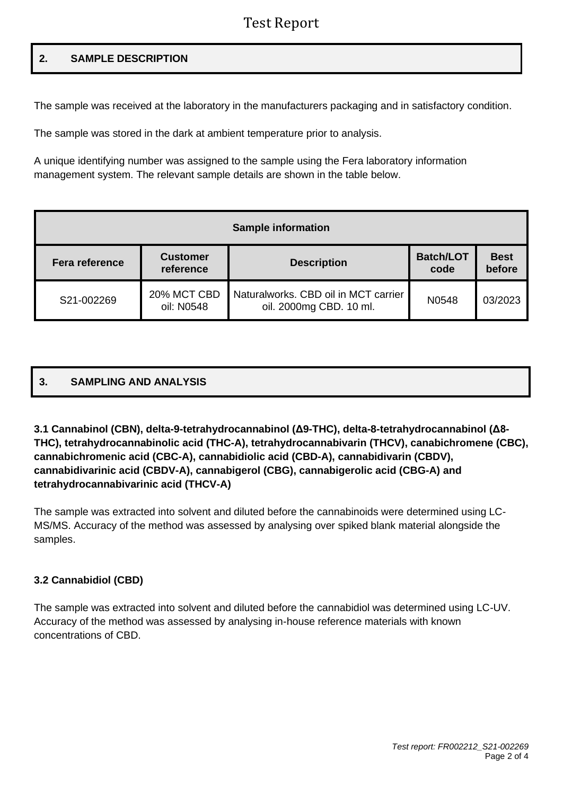## Test Report

#### **2. SAMPLE DESCRIPTION**

The sample was received at the laboratory in the manufacturers packaging and in satisfactory condition.

The sample was stored in the dark at ambient temperature prior to analysis.

A unique identifying number was assigned to the sample using the Fera laboratory information management system. The relevant sample details are shown in the table below.

| <b>Sample information</b> |                              |                                                                 |                          |                       |  |  |  |  |  |
|---------------------------|------------------------------|-----------------------------------------------------------------|--------------------------|-----------------------|--|--|--|--|--|
| <b>Fera reference</b>     | <b>Customer</b><br>reference | <b>Description</b>                                              | <b>Batch/LOT</b><br>code | <b>Best</b><br>before |  |  |  |  |  |
| S21-002269                | 20% MCT CBD<br>oil: N0548    | Naturalworks. CBD oil in MCT carrier<br>oil. 2000mg CBD. 10 ml. | N0548                    | 03/2023               |  |  |  |  |  |

# **3. SAMPLING AND ANALYSIS**

#### **3.1 Cannabinol (CBN), delta-9-tetrahydrocannabinol (Δ9-THC), delta-8-tetrahydrocannabinol (Δ8- THC), tetrahydrocannabinolic acid (THC-A), tetrahydrocannabivarin (THCV), canabichromene (CBC), cannabichromenic acid (CBC-A), cannabidiolic acid (CBD-A), cannabidivarin (CBDV), cannabidivarinic acid (CBDV-A), cannabigerol (CBG), cannabigerolic acid (CBG-A) and tetrahydrocannabivarinic acid (THCV-A)**

The sample was extracted into solvent and diluted before the cannabinoids were determined using LC-MS/MS. Accuracy of the method was assessed by analysing over spiked blank material alongside the samples.

#### **3.2 Cannabidiol (CBD)**

The sample was extracted into solvent and diluted before the cannabidiol was determined using LC-UV. Accuracy of the method was assessed by analysing in-house reference materials with known concentrations of CBD.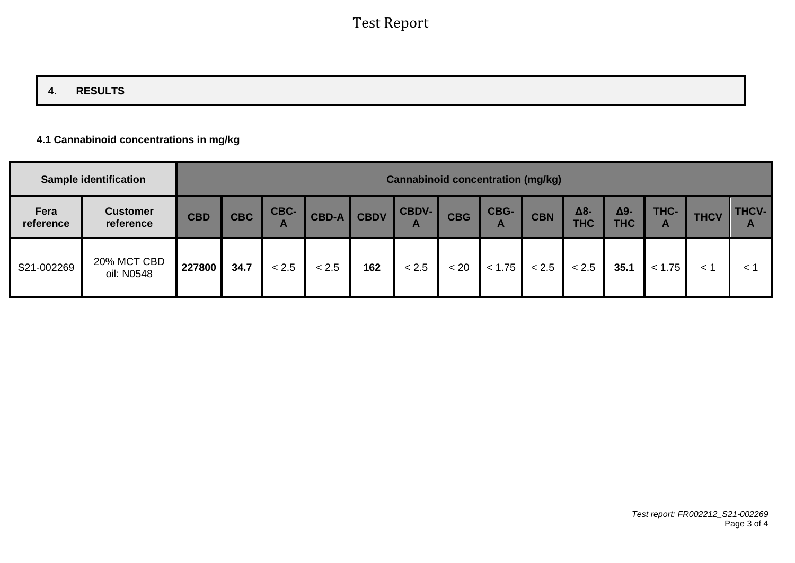## **4. RESULTS**

#### **4.1 Cannabinoid concentrations in mg/kg**

|                   | <b>Sample identification</b> | <b>Cannabinoid concentration (mg/kg)</b> |            |                      |              |             |                              |            |           |            |                   |                           |           |             |                              |
|-------------------|------------------------------|------------------------------------------|------------|----------------------|--------------|-------------|------------------------------|------------|-----------|------------|-------------------|---------------------------|-----------|-------------|------------------------------|
| Fera<br>reference | <b>Customer</b><br>reference | <b>CBD</b>                               | <b>CBC</b> | CBC-<br>$\mathbf{A}$ | <b>CBD-A</b> | <b>CBDV</b> | <b>CBDV-</b><br>$\mathbf{A}$ | <b>CBG</b> | CBG-<br>A | <b>CBN</b> | Δ8-<br><b>THC</b> | $\Delta$ 9-<br><b>THC</b> | THC-<br>A | <b>THCV</b> | <b>THCV-</b><br>$\mathbf{A}$ |
| S21-002269        | 20% MCT CBD<br>oil: N0548    | 227800                                   | 34.7       | < 2.5                | < 2.5        | 162         | < 2.5                        | < 20       | < 1.75    | < 2.5      | < 2.5             | 35.1                      | < 1.75    | $\lt'$      | $\lt$                        |